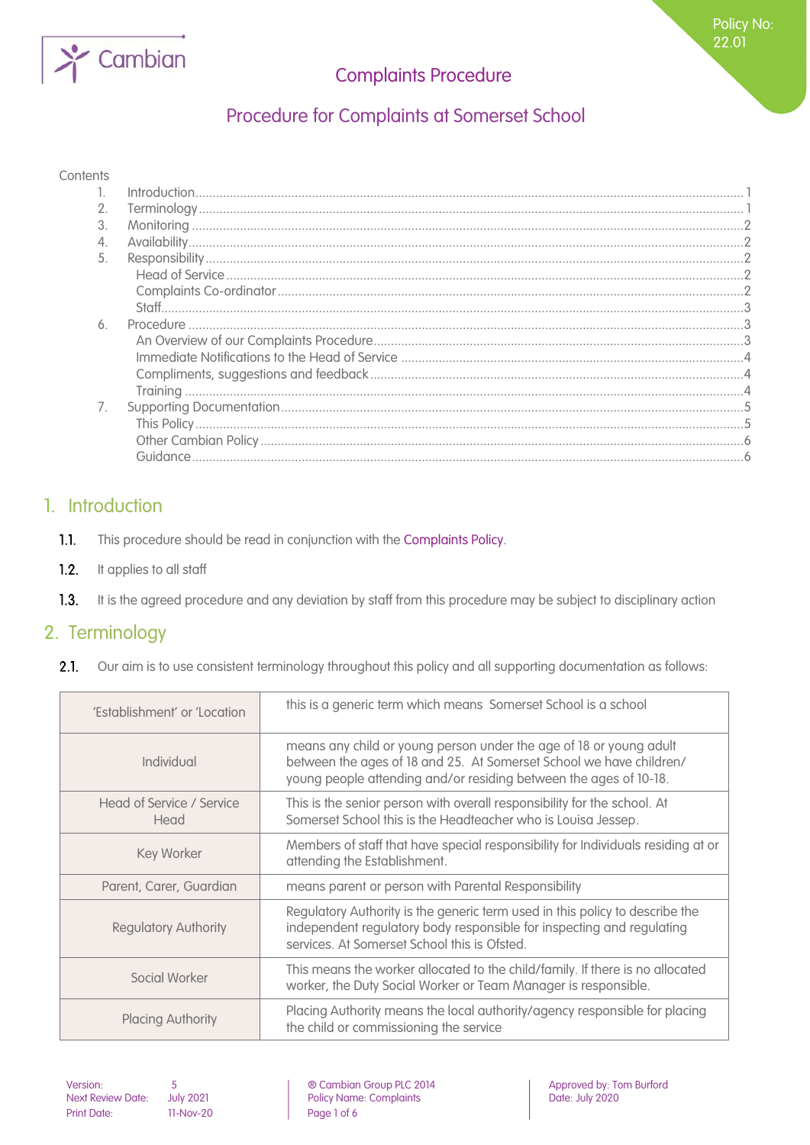

# Procedure for Complaints at Somerset School

#### **Contents**

| 3. |  |
|----|--|
| 4. |  |
| 5. |  |
|    |  |
|    |  |
|    |  |
| 6. |  |
|    |  |
|    |  |
|    |  |
|    |  |
|    |  |
|    |  |
|    |  |
|    |  |
|    |  |

### <span id="page-0-0"></span>1. Introduction

- 1.1. This procedure should be read in conjunction with the Complaints Policy.
- 1.2. It applies to all staff
- 1.3. It is the agreed procedure and any deviation by staff from this procedure may be subject to disciplinary action

## <span id="page-0-1"></span>2. Terminology

2.1. Our aim is to use consistent terminology throughout this policy and all supporting documentation as follows:

| 'Establishment' or 'Location      | this is a generic term which means Somerset School is a school                                                                                                                                                 |
|-----------------------------------|----------------------------------------------------------------------------------------------------------------------------------------------------------------------------------------------------------------|
| Individual                        | means any child or young person under the age of 18 or young adult<br>between the ages of 18 and 25. At Somerset School we have children/<br>young people attending and/or residing between the ages of 10-18. |
| Head of Service / Service<br>Head | This is the senior person with overall responsibility for the school. At<br>Somerset School this is the Headteacher who is Louisa Jessep.                                                                      |
| Key Worker                        | Members of staff that have special responsibility for Individuals residing at or<br>attending the Establishment.                                                                                               |
| Parent, Carer, Guardian           | means parent or person with Parental Responsibility                                                                                                                                                            |
| <b>Regulatory Authority</b>       | Regulatory Authority is the generic term used in this policy to describe the<br>independent regulatory body responsible for inspecting and regulating<br>services. At Somerset School this is Ofsted.          |
| Social Worker                     | This means the worker allocated to the child/family. If there is no allocated<br>worker, the Duty Social Worker or Team Manager is responsible.                                                                |
| <b>Placing Authority</b>          | Placing Authority means the local authority/agency responsible for placing<br>the child or commissioning the service                                                                                           |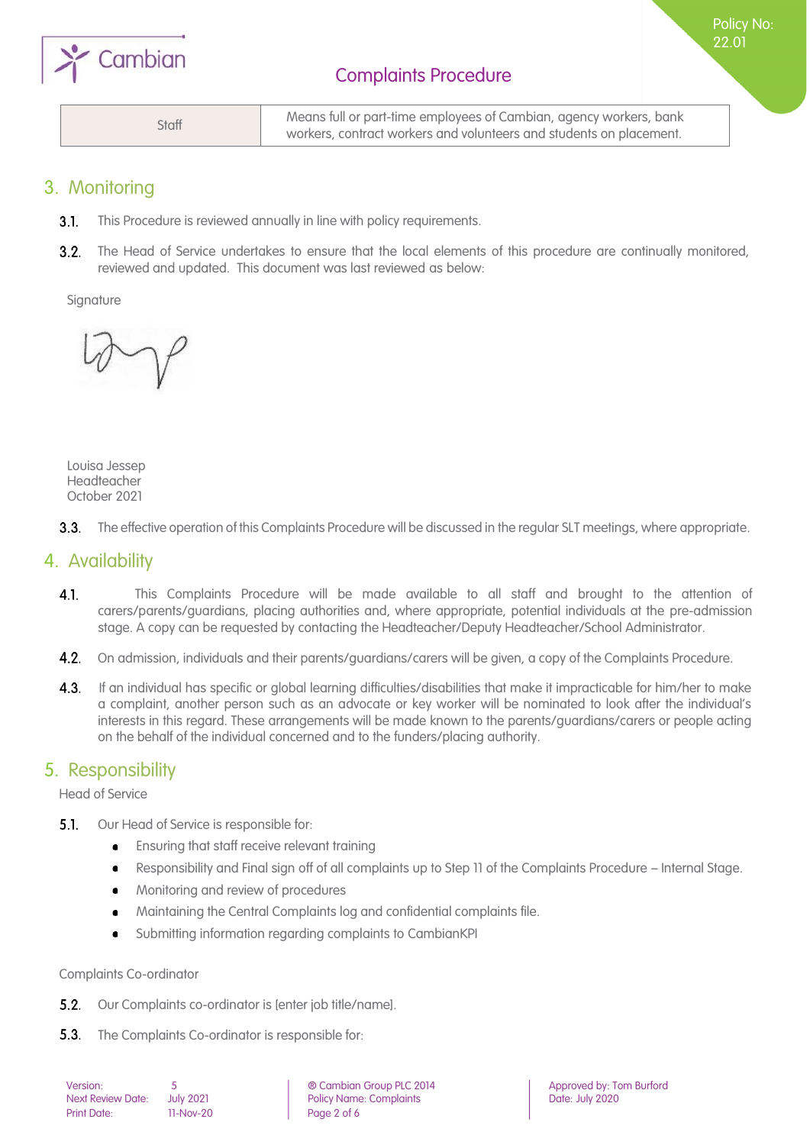

| Means full or part-time employees of Cambian, agency workers, bank<br>workers, contract workers and volunteers and students on placement. |
|-------------------------------------------------------------------------------------------------------------------------------------------|
|                                                                                                                                           |
|                                                                                                                                           |

### <span id="page-1-0"></span>3. Monitoring

- **3.1.** This Procedure is reviewed annually in line with policy requirements.
- 3.2. The Head of Service undertakes to ensure that the local elements of this procedure are continually monitored, reviewed and updated. This document was last reviewed as below:

**Signature** 

Louisa Jessep Headteacher October 2021

3.3. The effective operation of this Complaints Procedure will be discussed in the regular SLT meetings, where appropriate.

#### <span id="page-1-1"></span>4. Availability

- $4.1.$  This Complaints Procedure will be made available to all staff and brought to the attention of carers/parents/guardians, placing authorities and, where appropriate, potential individuals at the pre-admission stage. A copy can be requested by contacting the Headteacher/Deputy Headteacher/School Administrator.
- 4.2. On admission, individuals and their parents/guardians/carers will be given, a copy of the Complaints Procedure.
- 4.3. If an individual has specific or global learning difficulties/disabilities that make it impracticable for him/her to make a complaint, another person such as an advocate or key worker will be nominated to look after the individual's interests in this regard. These arrangements will be made known to the parents/guardians/carers or people acting on the behalf of the individual concerned and to the funders/placing authority.

### <span id="page-1-3"></span><span id="page-1-2"></span>5. Responsibility

Head of Service

- 5.1. Our Head of Service is responsible for:
	- Ensuring that staff receive relevant training
	- Responsibility and Final sign off of all complaints up to Step 11 of the Complaints Procedure Internal Stage.
	- Monitoring and review of procedures  $\bullet$
	- Maintaining the Central Complaints log and confidential complaints file.
	- Submitting information regarding complaints to CambianKPI  $\bullet$

<span id="page-1-4"></span>Complaints Co-ordinator

- **5.2.** Our Complaints co-ordinator is [enter job title/name].
- **5.3.** The Complaints Co-ordinator is responsible for: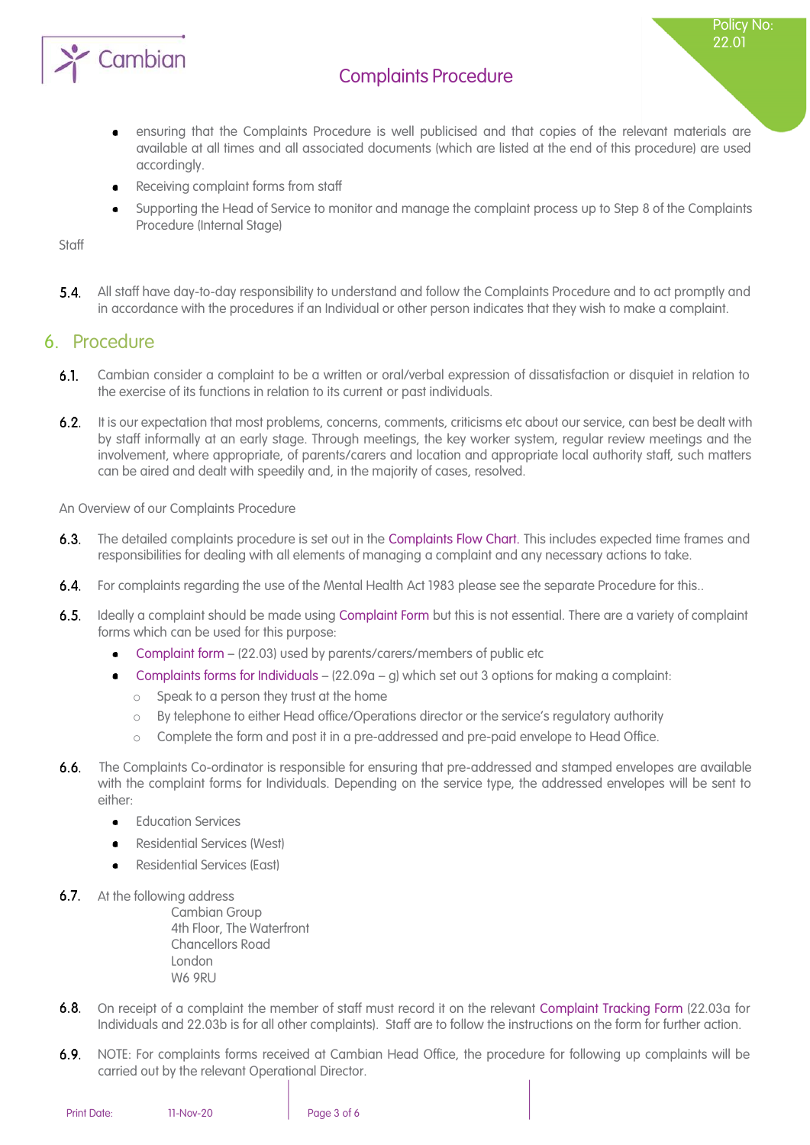

Policy No: 22.01

- ensuring that the Complaints Procedure is well publicised and that copies of the relevant materials are  $\bullet$ available at all times and all associated documents (which are listed at the end of this procedure) are used accordingly.
- Receiving complaint forms from staff
- Supporting the Head of Service to monitor and manage the complaint process up to Step 8 of the Complaints Procedure (Internal Stage)

<span id="page-2-0"></span>**Staff** 

**5.4.** All staff have day-to-day responsibility to understand and follow the Complaints Procedure and to act promptly and in accordance with the procedures if an Individual or other person indicates that they wish to make a complaint.

#### <span id="page-2-1"></span>6. Procedure

- Cambian consider a complaint to be a written or oral/verbal expression of dissatisfaction or disquiet in relation to the exercise of its functions in relation to its current or past individuals.
- 6.2. It is our expectation that most problems, concerns, comments, criticisms etc about our service, can best be dealt with by staff informally at an early stage. Through meetings, the key worker system, regular review meetings and the involvement, where appropriate, of parents/carers and location and appropriate local authority staff, such matters can be aired and dealt with speedily and, in the majority of cases, resolved.

<span id="page-2-2"></span>An Overview of our Complaints Procedure

- 6.3. The detailed complaints procedure is set out in the Complaints Flow Chart. This includes expected time frames and responsibilities for dealing with all elements of managing a complaint and any necessary actions to take.
- 6.4. For complaints regarding the use of the Mental Health Act 1983 please see the separate Procedure for this..
- 6.5. Ideally a complaint should be made using Complaint Form but this is not essential. There are a variety of complaint forms which can be used for this purpose:
	- Complaint form (22.03) used by parents/carers/members of public etc
	- Complaints forms for Individuals  $(22.09a g)$  which set out 3 options for making a complaint:
		- o Speak to a person they trust at the home
		- o By telephone to either Head office/Operations director or the service's regulatory authority
		- o Complete the form and post it in a pre-addressed and pre-paid envelope to Head Office.
- The Complaints Co-ordinator is responsible for ensuring that pre-addressed and stamped envelopes are available with the complaint forms for Individuals. Depending on the service type, the addressed envelopes will be sent to either:
	- Education Services
	- Residential Services (West)
	- Residential Services (East)
- **6.7.** At the following address

Cambian Group 4th Floor, The Waterfront Chancellors Road London W6 9RU

- 6.8. On receipt of a complaint the member of staff must record it on the relevant Complaint Tracking Form (22.03a for Individuals and 22.03b is for all other complaints). Staff are to follow the instructions on the form for further action.
- 6.9. NOTE: For complaints forms received at Cambian Head Office, the procedure for following up complaints will be carried out by the relevant Operational Director.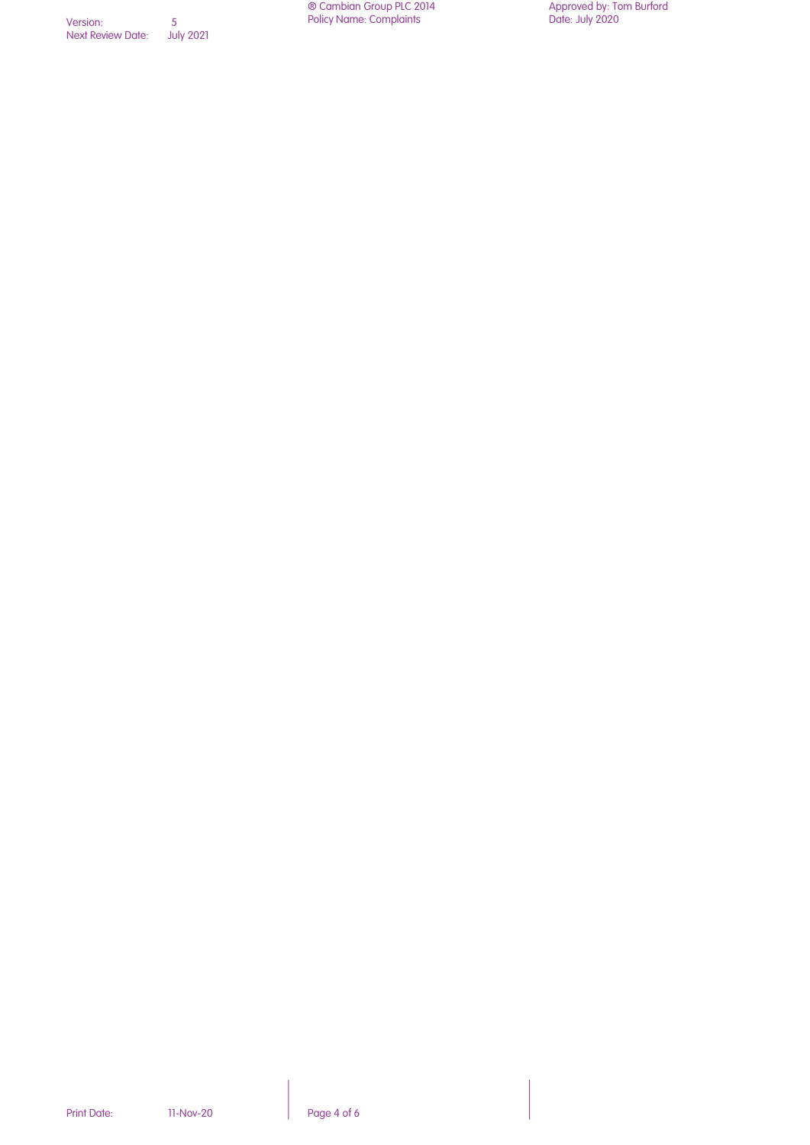Version: 5<br>Next Review Date: 5<br>July 2021 Next Review Date:

® Cambian Group PLC 2014 Policy Name: Complaints

Approved by: Tom Burford Date: July 2020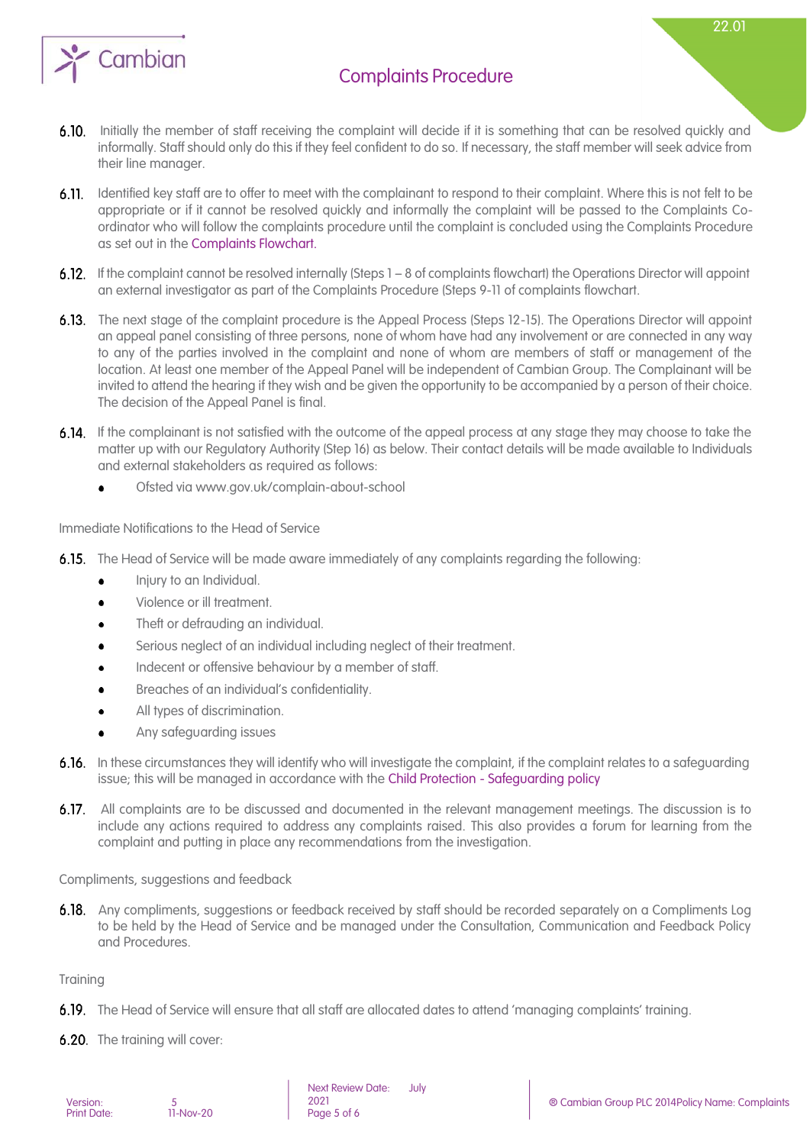

- 6.10. Initially the member of staff receiving the complaint will decide if it is something that can be resolved quickly and informally. Staff should only do this if they feel confident to do so. If necessary, the staff member will seek advice from their line manager.
- 6.11. Identified key staff are to offer to meet with the complainant to respond to their complaint. Where this is not felt to be appropriate or if it cannot be resolved quickly and informally the complaint will be passed to the Complaints Coordinator who will follow the complaints procedure until the complaint is concluded using the Complaints Procedure as set out in the Complaints Flowchart.
- 6.12. If the complaint cannot be resolved internally (Steps 1 8 of complaints flowchart) the Operations Director will appoint an external investigator as part of the Complaints Procedure (Steps 9-11 of complaints flowchart.
- 6.13. The next stage of the complaint procedure is the Appeal Process (Steps 12-15). The Operations Director will appoint an appeal panel consisting of three persons, none of whom have had any involvement or are connected in any way to any of the parties involved in the complaint and none of whom are members of staff or management of the location. At least one member of the Appeal Panel will be independent of Cambian Group. The Complainant will be invited to attend the hearing if they wish and be given the opportunity to be accompanied by a person of their choice. The decision of the Appeal Panel is final.
- 6.14. If the complainant is not satisfied with the outcome of the appeal process at any stage they may choose to take the matter up with our Regulatory Authority (Step 16) as below. Their contact details will be made available to Individuals and external stakeholders as required as follows:
	- Ofsted via [www.gov.uk/complain-about-school](http://www.gov.uk/complain-about-school)

<span id="page-4-0"></span>Immediate Notifications to the Head of Service

- 6.15. The Head of Service will be made aware immediately of any complaints regarding the following:
	- Injury to an Individual.  $\bullet$
	- Violence or ill treatment.
	- Theft or defrauding an individual.  $\bullet$
	- Serious neglect of an individual including neglect of their treatment.  $\bullet$
	- Indecent or offensive behaviour by a member of staff.  $\bullet$
	- Breaches of an individual's confidentiality.
	- All types of discrimination.
	- Any safeguarding issues
- **6.16.** In these circumstances they will identify who will investigate the complaint, if the complaint relates to a safeguarding issue; this will be managed in accordance with the Child Protection - Safeguarding policy
- 6.17. All complaints are to be discussed and documented in the relevant management meetings. The discussion is to include any actions required to address any complaints raised. This also provides a forum for learning from the complaint and putting in place any recommendations from the investigation.

<span id="page-4-1"></span>Compliments, suggestions and feedback

6.18. Any compliments, suggestions or feedback received by staff should be recorded separately on a Compliments Log to be held by the Head of Service and be managed under the Consultation, Communication and Feedback Policy and Procedures.

#### <span id="page-4-2"></span>**Training**

6.19. The Head of Service will ensure that all staff are allocated dates to attend 'managing complaints' training.

**6.20.** The training will cover:

Policy No: 22.01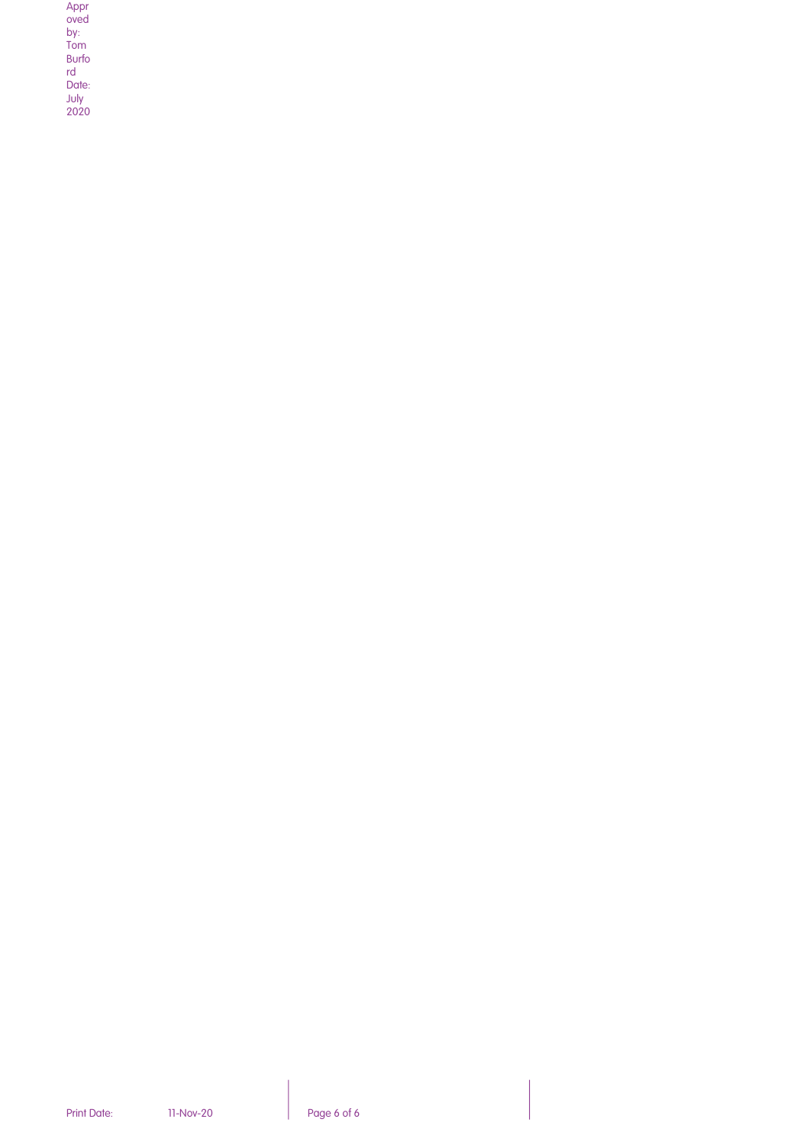Appr oved by: Tom Burfo rd Date: July 2020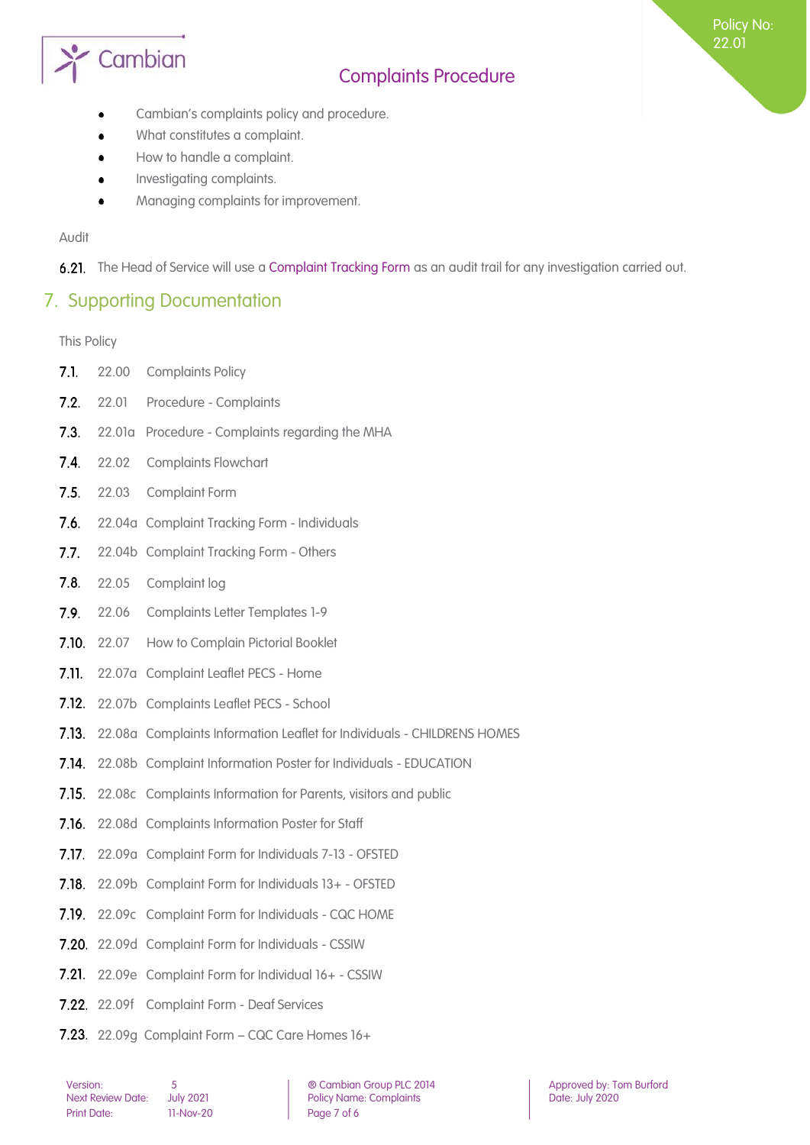

Policy No: 22.01

- Cambian's complaints policy and procedure.
- What constitutes a complaint.  $\bullet$
- How to handle a complaint.  $\bullet$
- Investigating complaints.  $\bullet$
- Managing complaints for improvement.  $\bullet$

#### Audit

6.21. The Head of Service will use a Complaint Tracking Form as an audit trail for any investigation carried out.

### <span id="page-6-0"></span>7. Supporting Documentation

#### <span id="page-6-1"></span>This Policy

- 7.1. 22.00 Complaints Policy
- 7.2. 22.01 Procedure Complaints
- 7.3. 22.01a Procedure Complaints regarding the MHA
- 7.4. 22.02 Complaints Flowchart
- 7.5. 22.03 Complaint Form
- **7.6.** 22.04a Complaint Tracking Form Individuals
- 7.7. 22.04b Complaint Tracking Form Others
- **7.8.** 22.05 Complaint log
- **7.9.** 22.06 Complaints Letter Templates 1-9
- **7.10.** 22.07 How to Complain Pictorial Booklet
- 7.11. 22.07a Complaint Leaflet PECS Home
- 7.12. 22.07b Complaints Leaflet PECS School
- 22.08a Complaints Information Leaflet for Individuals CHILDRENS HOMES
- 7.14. 22.08b Complaint Information Poster for Individuals EDUCATION
- 7.15. 22.08c Complaints Information for Parents, visitors and public
- 7.16. 22.08d Complaints Information Poster for Staff
- 7.17. 22.09a Complaint Form for Individuals 7-13 OFSTED
- 7.18. 22.09b Complaint Form for Individuals 13+ OFSTED
- 7.19. 22.09c Complaint Form for Individuals CQC HOME
- 7.20. 22.09d Complaint Form for Individuals CSSIW
- 7.21. 22.09e Complaint Form for Individual 16+ CSSIW
- 7.22. 22.09f Complaint Form Deaf Services
- 7.23. 22.09g Complaint Form CQC Care Homes 16+

® Cambian Group PLC 2014 Policy Name: Complaints

Approved by: Tom Burford Date: July 2020